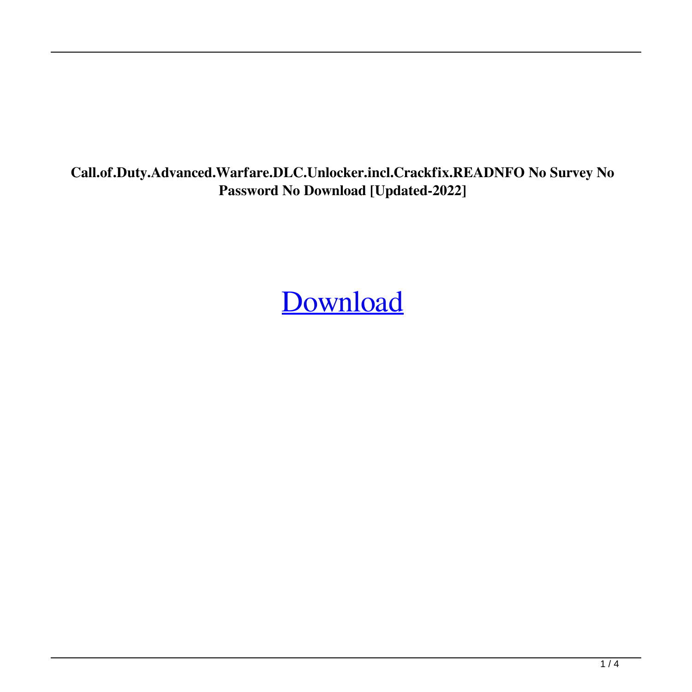**Call.of.Duty.Advanced.Warfare.DLC.Unlocker.incl.Crackfix.READNFO No Survey No Password No Download [Updated-2022]**

[Download](http://evacdir.com/clanging.Q2FsbC5vZi5EdXR5LkFkdmFuY2VkLldhcmZhcmUuRExDLlVubG9ja2VyLmluY2wuQ3JhY2tmaXguUkVBRE5GTyBObyBTdXJ2ZXkgTm8gUGFzc3dvcmQgTm8gRG93bmxvYWQQ2F.deciliter/undoctored/unocal/ZG93bmxvYWR8c2w3TWpSbE4zeDhNVFkxTWpRMk16QTFNSHg4TWpVM05IeDhLRTBwSUhKbFlXUXRZbXh2WnlCYlJtRnpkQ0JIUlU1ZA)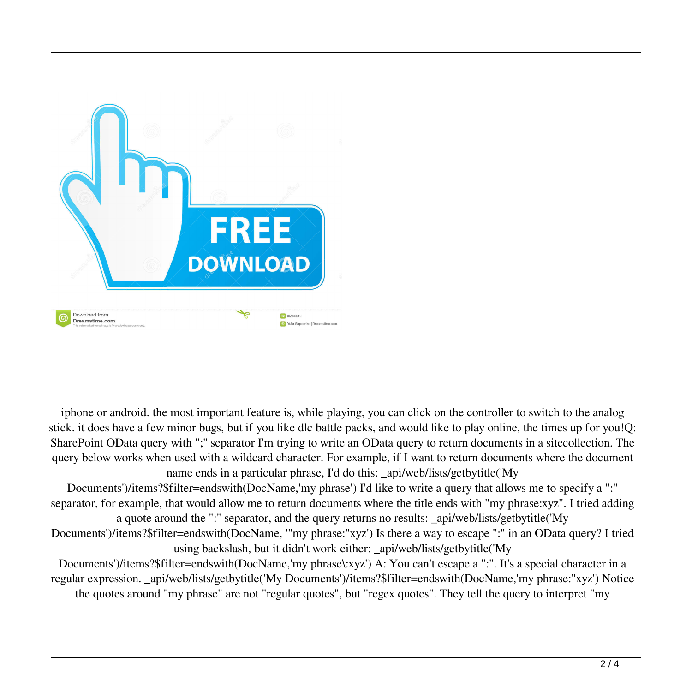

iphone or android. the most important feature is, while playing, you can click on the controller to switch to the analog stick. it does have a few minor bugs, but if you like dlc battle packs, and would like to play online, the times up for you!Q: SharePoint OData query with ";" separator I'm trying to write an OData query to return documents in a sitecollection. The query below works when used with a wildcard character. For example, if I want to return documents where the document name ends in a particular phrase, I'd do this: api/web/lists/getbytitle('My

Documents')/items?\$filter=endswith(DocName,'my phrase') I'd like to write a query that allows me to specify a ":" separator, for example, that would allow me to return documents where the title ends with "my phrase:xyz". I tried adding a quote around the ":" separator, and the query returns no results: \_api/web/lists/getbytitle('My Documents')/items?\$filter=endswith(DocName, '"my phrase:"xyz') Is there a way to escape ":" in an OData query? I tried using backslash, but it didn't work either: \_api/web/lists/getbytitle('My

Documents')/items?\$filter=endswith(DocName,'my phrase\:xyz') A: You can't escape a ":". It's a special character in a regular expression. \_api/web/lists/getbytitle('My Documents')/items?\$filter=endswith(DocName,'my phrase:"xyz') Notice the quotes around "my phrase" are not "regular quotes", but "regex quotes". They tell the query to interpret "my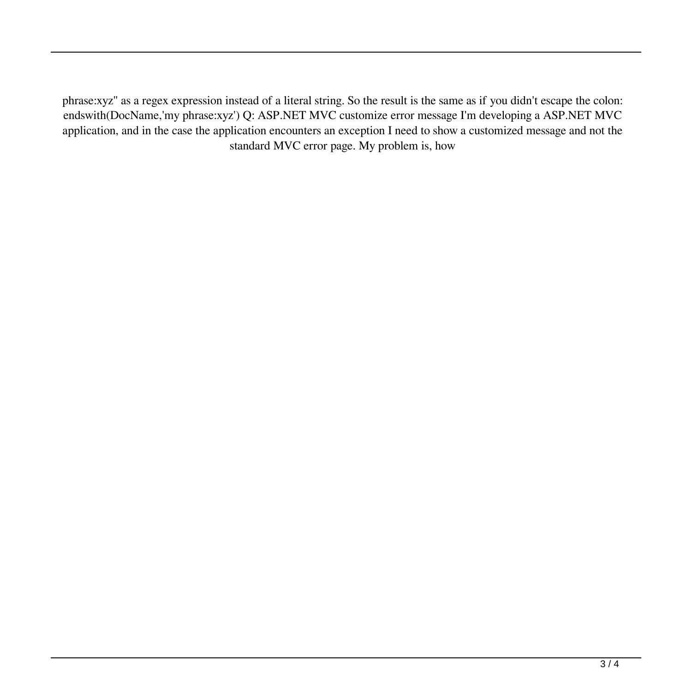phrase:xyz" as a regex expression instead of a literal string. So the result is the same as if you didn't escape the colon: endswith(DocName,'my phrase:xyz') Q: ASP.NET MVC customize error message I'm developing a ASP.NET MVC application, and in the case the application encounters an exception I need to show a customized message and not the standard MVC error page. My problem is, how